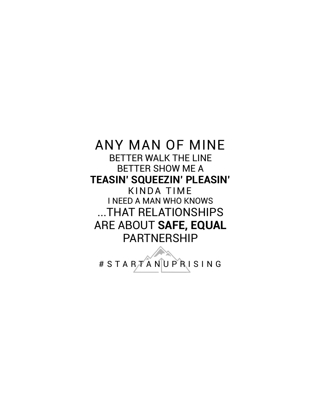#### ANY MAN OF MINE BETTER WALK THE LINE BETTER SHOW ME A **TEASIN' SQUEEZIN' PLEASIN'**  KINDA TIME I NEED A MAN WHO KNOWS ...THAT RELATIONSHIPS ARE ABOUT **SAFE, EQUAL**  PARTNERSHIP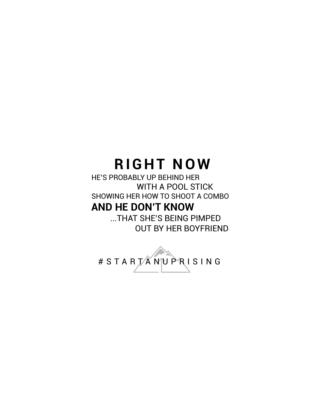# **RIGHT NOW**

HE'S PROBABLY UP BEHIND HER WITH A POOL STICK SHOWING HER HOW TO SHOOT A COMBO

#### **AND HE DON'T KNOW**

 ...THAT SHE'S BEING PIMPED OUT BY HER BOYFRIEND

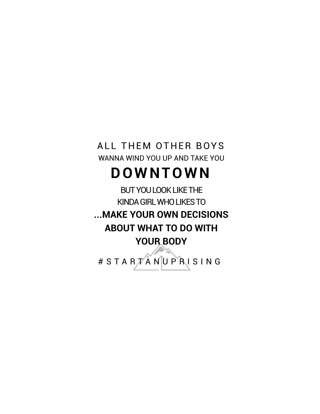### ALL THEM OTHER BOYS WANNA WIND YOU UP AND TAKE YOU

## **D O W N T O W N**

BUT YOU LOOK LIKE THE KINDA GIRL WHO LIKES TO **...MAKE YOUR OWN DECISIONS ABOUT WHAT TO DO WITH YOUR BODY**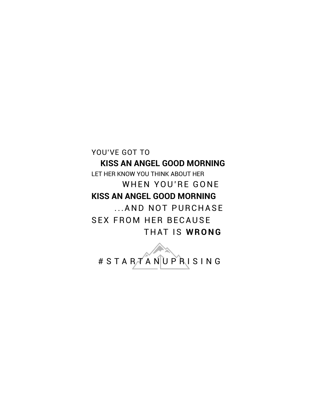YOU'VE GOT TO

#### **KISS AN ANGEL GOOD MORNING**

LET HER KNOW YOU THINK ABOUT HER WHEN YOU'RE GONE **KISS AN ANGEL GOOD MORNING**  ... AND NOT PURCHASE **SEX FROM HER BECAUSE THAT IS WRONG** 

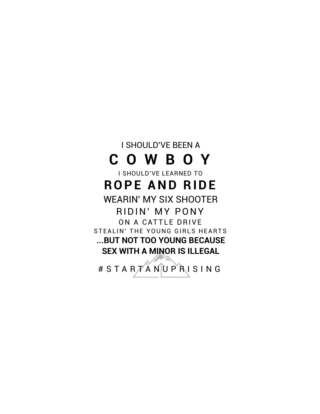I SHOULD'VE BEEN A **C O W B O Y** I SHOULD'VE LEARNED TO **ROPE AND RIDE** WEARIN' MY SIX SHOOTER RIDIN' MY PONY ON A CATTLE DRIVE STEALIN' THE YOUNG GIRLS HEARTS **...BUT NOT TOO YOUNG BECAUSE SEX WITH A MINOR IS ILLEGAL**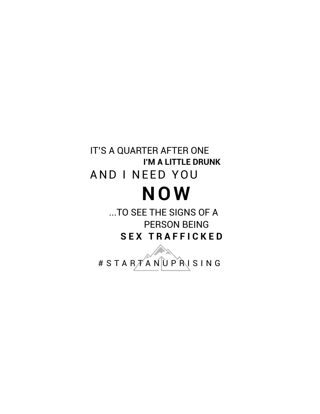### IT'S A QUARTER AFTER ONE **I'M A LITTLE DRUNK**  AND I NEED YOU **N O W**

 ...TO SEE THE SIGNS OF A PERSON BEING **S E X T R A F F I C K E D**